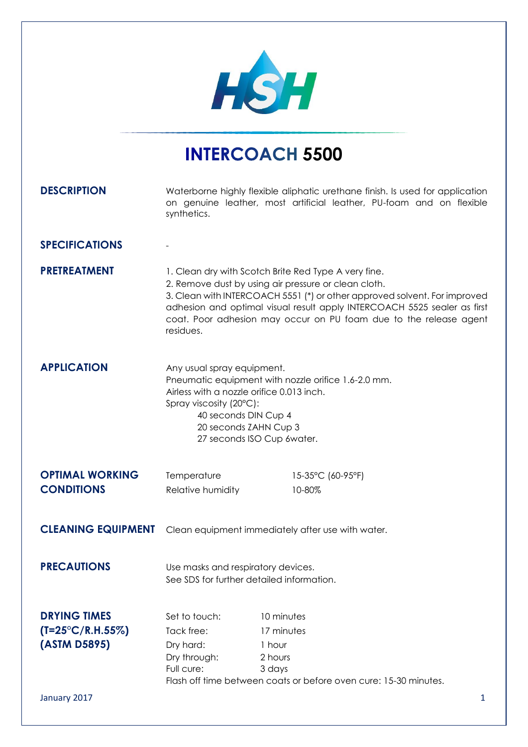